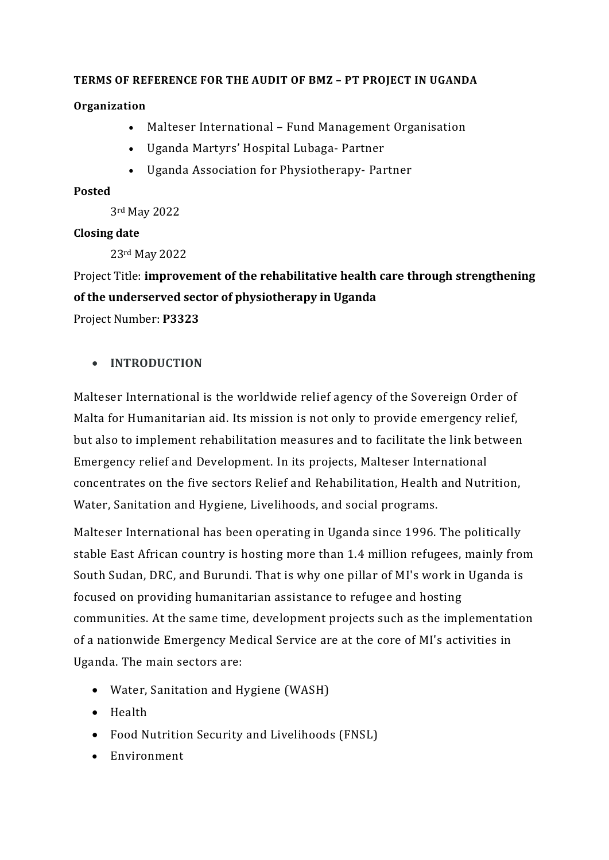#### **TERMS OF REFERENCE FOR THE AUDIT OF BMZ – PT PROJECT IN UGANDA**

#### **Organization**

- Malteser International Fund Management Organisation
- Uganda Martyrs' Hospital Lubaga- Partner
- Uganda Association for Physiotherapy- Partner

#### **Posted**

3rd May 2022

#### **Closing date**

23rd May 2022

Project Title: **improvement of the rehabilitative health care through strengthening of the underserved sector of physiotherapy in Uganda** Project Number: **P3323** 

### • **INTRODUCTION**

Malteser International is the worldwide relief agency of the Sovereign Order of Malta for Humanitarian aid. Its mission is not only to provide emergency relief, but also to implement rehabilitation measures and to facilitate the link between Emergency relief and Development. In its projects, Malteser International concentrates on the five sectors Relief and Rehabilitation, Health and Nutrition, Water, Sanitation and Hygiene, Livelihoods, and social programs.

Malteser International has been operating in Uganda since 1996. The politically stable East African country is hosting more than 1.4 million refugees, mainly from South Sudan, DRC, and Burundi. That is why one pillar of MI's work in Uganda is focused on providing humanitarian assistance to refugee and hosting communities. At the same time, development projects such as the implementation of a nationwide Emergency Medical Service are at the core of MI's activities in Uganda. The main sectors are:

- Water, Sanitation and Hygiene (WASH)
- Health
- Food Nutrition Security and Livelihoods (FNSL)
- Environment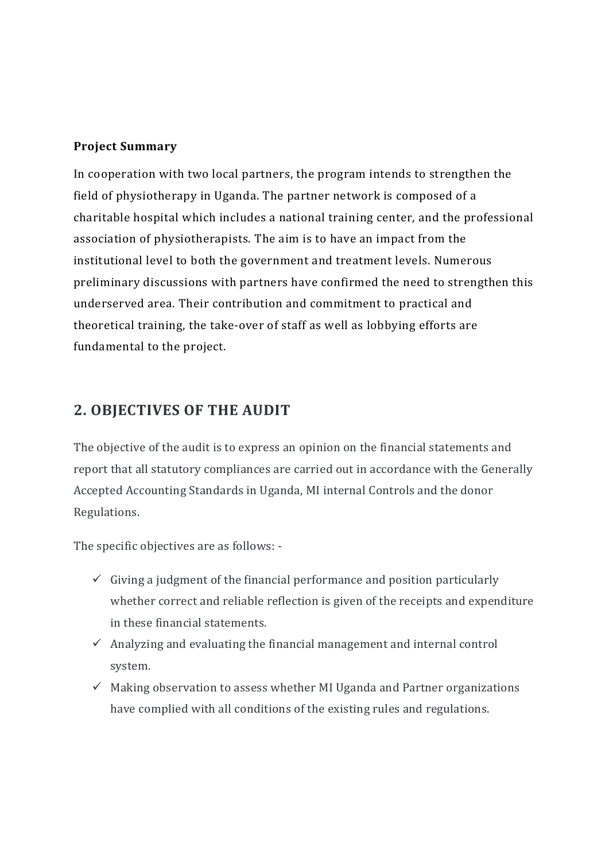### **Project Summary**

In cooperation with two local partners, the program intends to strengthen the field of physiotherapy in Uganda. The partner network is composed of a charitable hospital which includes a national training center, and the professional association of physiotherapists. The aim is to have an impact from the institutional level to both the government and treatment levels. Numerous preliminary discussions with partners have confirmed the need to strengthen this underserved area. Their contribution and commitment to practical and theoretical training, the take-over of staff as well as lobbying efforts are fundamental to the project.

### **2. OBJECTIVES OF THE AUDIT**

The objective of the audit is to express an opinion on the financial statements and report that all statutory compliances are carried out in accordance with the Generally Accepted Accounting Standards in Uganda, MI internal Controls and the donor Regulations.

The specific objectives are as follows: -

- $\checkmark$  Giving a judgment of the financial performance and position particularly whether correct and reliable reflection is given of the receipts and expenditure in these financial statements.
- $\checkmark$  Analyzing and evaluating the financial management and internal control system.
- $\checkmark$  Making observation to assess whether MI Uganda and Partner organizations have complied with all conditions of the existing rules and regulations.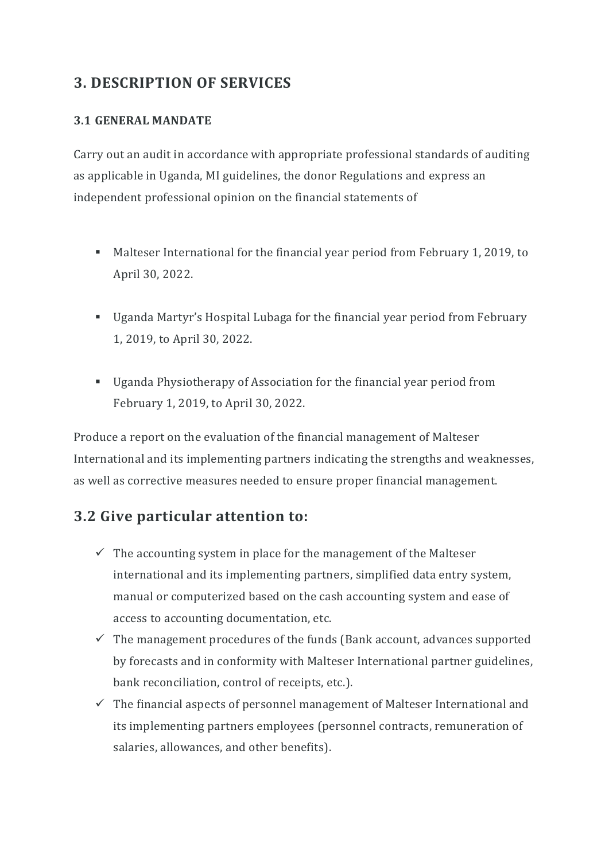## **3. DESCRIPTION OF SERVICES**

### **3.1 GENERAL MANDATE**

Carry out an audit in accordance with appropriate professional standards of auditing as applicable in Uganda, MI guidelines, the donor Regulations and express an independent professional opinion on the financial statements of

- Malteser International for the financial year period from February 1, 2019, to April 30, 2022.
- Uganda Martyr's Hospital Lubaga for the financial year period from February 1, 2019, to April 30, 2022.
- Uganda Physiotherapy of Association for the financial year period from February 1, 2019, to April 30, 2022.

Produce a report on the evaluation of the financial management of Malteser International and its implementing partners indicating the strengths and weaknesses, as well as corrective measures needed to ensure proper financial management.

### **3.2 Give particular attention to:**

- $\checkmark$  The accounting system in place for the management of the Malteser international and its implementing partners, simplified data entry system, manual or computerized based on the cash accounting system and ease of access to accounting documentation, etc.
- $\checkmark$  The management procedures of the funds (Bank account, advances supported by forecasts and in conformity with Malteser International partner guidelines, bank reconciliation, control of receipts, etc.).
- $\checkmark$  The financial aspects of personnel management of Malteser International and its implementing partners employees (personnel contracts, remuneration of salaries, allowances, and other benefits).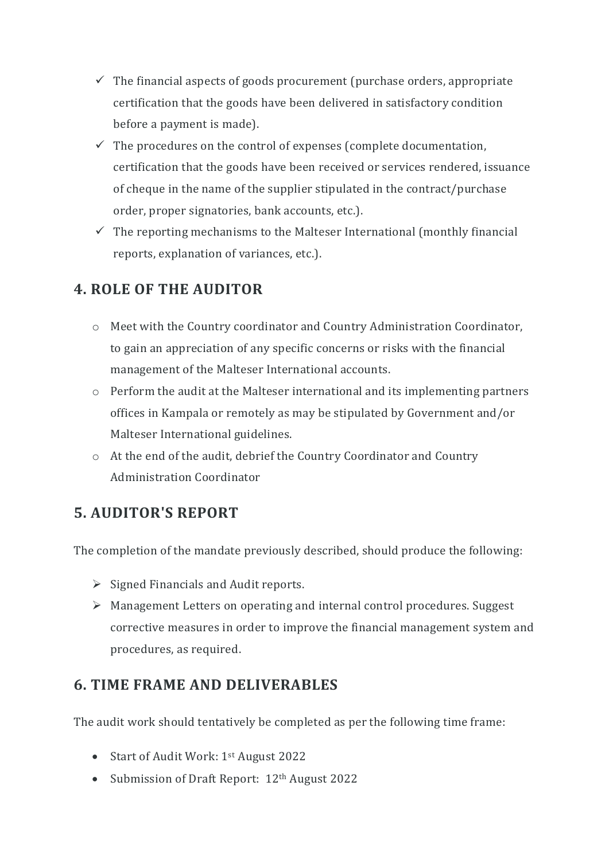- $\checkmark$  The financial aspects of goods procurement (purchase orders, appropriate certification that the goods have been delivered in satisfactory condition before a payment is made).
- $\checkmark$  The procedures on the control of expenses (complete documentation, certification that the goods have been received or services rendered, issuance of cheque in the name of the supplier stipulated in the contract/purchase order, proper signatories, bank accounts, etc.).
- $\checkmark$  The reporting mechanisms to the Malteser International (monthly financial reports, explanation of variances, etc.).

# **4. ROLE OF THE AUDITOR**

- o Meet with the Country coordinator and Country Administration Coordinator, to gain an appreciation of any specific concerns or risks with the financial management of the Malteser International accounts.
- o Perform the audit at the Malteser international and its implementing partners offices in Kampala or remotely as may be stipulated by Government and/or Malteser International guidelines.
- o At the end of the audit, debrief the Country Coordinator and Country Administration Coordinator

## **5. AUDITOR'S REPORT**

The completion of the mandate previously described, should produce the following:

- $\triangleright$  Signed Financials and Audit reports.
- Management Letters on operating and internal control procedures. Suggest corrective measures in order to improve the financial management system and procedures, as required.

## **6. TIME FRAME AND DELIVERABLES**

The audit work should tentatively be completed as per the following time frame:

- Start of Audit Work: 1<sup>st</sup> August 2022
- Submission of Draft Report: 12<sup>th</sup> August 2022